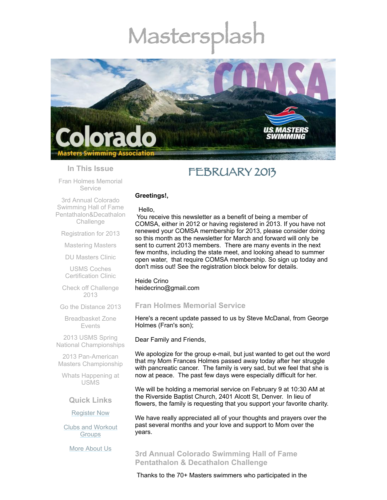# Mastersp



## **In This Issue**

Fran Holmes [Memorial](#page-0-0) Service

# FEBRUARY 2013

### **Greetings!,**

3rd Annual Colorado Swimming Hall of Fame [Pentathalon&Decathalon](#page-0-1) **Challenge** 

[Registration](#page-1-0) for 2013

[Mastering](#page-2-0) Masters

DU [Masters](#page-2-1) Clinic

USMS Coches [Certification](#page-3-0) Clinic

Check off [Challenge](#page-3-1) 2013

Go the [Distance](#page-3-2) 2013

[Breadbasket](#page-4-0) Zone Events

2013 USMS Spring National [Championships](#page-4-1)

2013 Pan-American Masters [Championship](#page-4-2)

Whats [Happening](#page-4-3) at USMS

## **Quick Links**

## [Register](http://comsa.org/joining/index.html) Now

Clubs and [Workout](http://comsa.org/clubs/index.html) **Groups** 

More [About](http://comsa.org/) Us

#### Hello,

You receive this newsletter as a benefit of being a member of COMSA, either in 2012 or having registered in 2013. If you have not renewed your COMSA membership for 2013, please consider doing so this month as the newsletter for March and forward will only be sent to current 2013 members. There are many events in the next few months, including the state meet, and looking ahead to summer open water, that require COMSA membership. So sign up today and don't miss out! See the registration block below for details.

Heide Crino heidecrino@gmail.com

## <span id="page-0-0"></span>**Fran Holmes Memorial Service**

Here's a recent update passed to us by Steve McDanal, from George Holmes (Fran's son);

Dear Family and Friends,

We apologize for the group e-mail, but just wanted to get out the word that my Mom Frances Holmes passed away today after her struggle with pancreatic cancer. The family is very sad, but we feel that she is now at peace. The past few days were especially difficult for her.

We will be holding a memorial service on February 9 at 10:30 AM at the Riverside Baptist Church, 2401 Alcott St, Denver. In lieu of flowers, the family is requesting that you support your favorite charity.

We have really appreciated all of your thoughts and prayers over the past several months and your love and support to Mom over the years.

<span id="page-0-1"></span>**3rd Annual Colorado Swimming Hall of Fame Pentathalon & Decathalon Challenge**

Thanks to the 70+ Masters swimmers who participated in the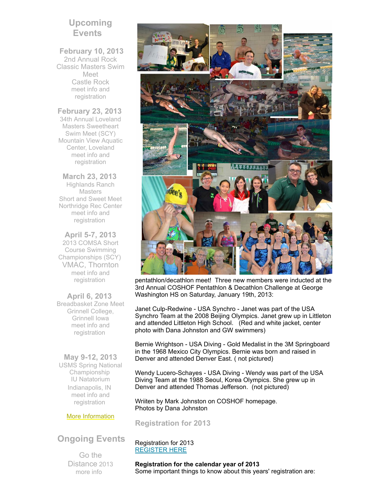## **Upcoming Events**

## **February 10, 2013**

2nd Annual Rock Classic Masters Swim Meet Castle Rock meet info and [registration](http://www.usms.org/comp/event.php?MeetID=20130210CASTLEY)

## **February 23, 2013**

34th Annual Loveland Masters Sweetheart Swim Meet (SCY) Mountain View Aquatic Center, Loveland meet info and [registration](http://www.usms.org/comp/event.php?MeetID=20130223LOVEY)

**March 23, 2013** Highlands Ranch **Masters** Short and Sweet Meet Northridge Rec Center meet info and [registration](http://www.comsa.org/events/2013%20pool/2013ShortandSweetSCY.pdf)

**April 5-7, 2013** 2013 COMSA Short Course Swimming Championships (SCY) VMAC, Thornton meet info and [registration](http://www.usms.org/comp/event.php?MeetID=20130405StateY)

**April 6, 2013**  Breadbasket Zone Meet Grinnell College, Grinnell Iowa meet info and [registration](http://www.iowamasters.org/meet_reg/2013_04_06_Iowa_Masters_Short_Course_Zone_Championship_Entry_Form.pdf)

**May 9-12, 2013** USMS Spring National Championship IU Natatorium Indianapolis, IN meet info and [registration](http://www.usms.org/comp/scnats13/)

## More [Information](http://www.comsa.org/)

# **Ongoing Events**

Go the Distance 2013 [more](http://www.usms.org/fitness/content/gothedistance) info



pentathlon/decathlon meet! Three new members were inducted at the 3rd Annual COSHOF Pentathlon & Decathlon Challenge at George Washington HS on Saturday, January 19th, 2013:

Janet Culp-Redwine - USA Synchro - Janet was part of the USA Synchro Team at the 2008 Beijing Olympics. Janet grew up in Littleton and attended Littleton High School. (Red and white jacket, center photo with Dana Johnston and GW swimmers)

Bernie Wrightson - USA Diving - Gold Medalist in the 3M Springboard in the 1968 Mexico City Olympics. Bernie was born and raised in Denver and attended Denver East. ( not pictured)

Wendy Lucero-Schayes - USA Diving - Wendy was part of the USA Diving Team at the 1988 Seoul, Korea Olympics. She grew up in Denver and attended Thomas Jefferson. (not pictured)

Wriiten by Mark Johnston on COSHOF homepage. Photos by Dana Johnston

<span id="page-1-0"></span>**Registration for 2013**

## Registration for 2013 [REGISTER](http://www.comsa.org/joining/join-online.html) HERE

**Registration for the calendar year of 2013** Some important things to know about this years' registration are: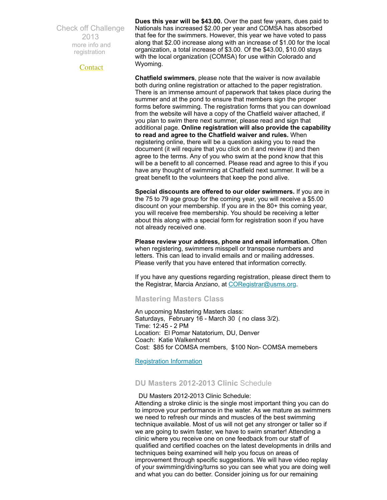Check off Challenge 2013 more info and [registration](http://www.usms.org/fitness/content/checkoff)

**[Contact](mailto:heidecrino@gmail.com?)** 

**Dues this year will be \$43.00.** Over the past few years, dues paid to Nationals has increased \$2.00 per year and COMSA has absorbed that fee for the swimmers. However, this year we have voted to pass along that \$2.00 increase along with an increase of \$1.00 for the local organization, a total increase of \$3.00. Of the \$43.00, \$10.00 stays with the local organization (COMSA) for use within Colorado and Wyoming.

**Chatfield swimmers**, please note that the waiver is now available both during online registration or attached to the paper registration. There is an immense amount of paperwork that takes place during the summer and at the pond to ensure that members sign the proper forms before swimming. The registration forms that you can download from the website will have a copy of the Chatfield waiver attached, if you plan to swim there next summer, please read and sign that additional page. **Online registration will also provide the capability to read and agree to the Chatfield waiver and rules.** When registering online, there will be a question asking you to read the document (it will require that you click on it and review it) and then agree to the terms. Any of you who swim at the pond know that this will be a benefit to all concerned. Please read and agree to this if you have any thought of swimming at Chatfield next summer. It will be a great benefit to the volunteers that keep the pond alive.

**Special discounts are offered to our older swimmers.** If you are in the 75 to 79 age group for the coming year, you will receive a \$5.00 discount on your membership. If you are in the 80+ this coming year, you will receive free membership. You should be receiving a letter about this along with a special form for registration soon if you have not already received one.

**Please review your address, phone and email information.** Often when registering, swimmers misspell or transpose numbers and letters. This can lead to invalid emails and or mailing addresses. Please verify that you have entered that information correctly.

If you have any questions regarding registration, please direct them to the Registrar, Marcia Anziano, at [CORegistrar@usms.org.](mailto:CORegistrar@USMS.org)

<span id="page-2-0"></span>**Mastering Masters Class**

An upcoming Mastering Masters class: Saturdays, February 16 - March 30 ( no class 3/2). Time: 12:45 - 2 PM Location: El Pomar Natatorium, DU, Denver Coach: Katie Walkenhorst Cost: \$85 for COMSA members, \$100 Non- COMSA memebers

[Registration](http://www.comsa.org/masteringmasters/index.html) Information

## <span id="page-2-1"></span>**DU Masters 2012-2013 Clinic** Schedule

DU Masters 2012-2013 Clinic Schedule: Attending a stroke clinic is the single most important thing you can do to improve your performance in the water. As we mature as swimmers we need to refresh our minds and muscles of the best swimming technique available. Most of us will not get any stronger or taller so if we are going to swim faster, we have to swim smarter! Attending a clinic where you receive one on one feedback from our staff of qualified and certified coaches on the latest developments in drills and techniques being examined will help you focus on areas of improvement through specific suggestions. We will have video replay of your swimming/diving/turns so you can see what you are doing well and what you can do better. Consider joining us for our remaining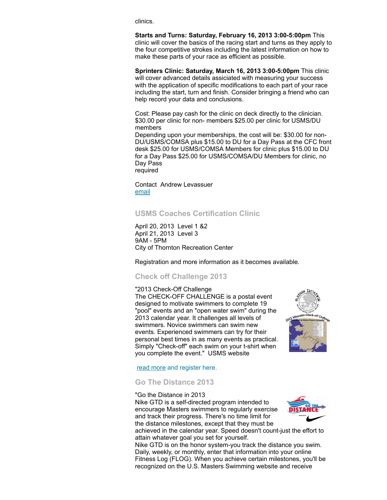clinics.

**Starts and Turns: Saturday, February 16, 2013 3:00-5:00pm** This clinic will cover the basics of the racing start and turns as they apply to the four competitive strokes including the latest information on how to make these parts of your race as efficient as possible.

**Sprinters Clinic: Saturday, March 16, 2013 3:00-5:00pm** This clinic will cover advanced details assiciated with measuring your success with the application of specific modifications to each part of your race including the start, turn and finish. Consider bringing a friend who can help record your data and conclusions.

Cost: Please pay cash for the clinic on deck directly to the clinician. \$30.00 per clinic for non- members \$25.00 per clinic for USMS/DU members

Depending upon your memberships, the cost will be: \$30.00 for non-DU/USMS/COMSA plus \$15.00 to DU for a Day Pass at the CFC front desk \$25.00 for USMS/COMSA Members for clinic plus \$15.00 to DU for a Day Pass \$25.00 for USMS/COMSA/DU Members for clinic, no Day Pass

required

Contact Andrew Levassuer [email](mailto:swimmin4fun@msn.com)

## <span id="page-3-0"></span>**USMS Coaches Certification Clinic**

April 20, 2013 Level 1 &2 April 21, 2013 Level 3 9AM - 5PM City of Thornton Recreation Center

Registration and more information as it becomes available.

## <span id="page-3-1"></span>**Check off Challenge 2013**

#### "2013 Check-Off Challenge

The CHECK-OFF CHALLENGE is a postal event designed to motivate swimmers to complete 19 "pool" events and an "open water swim" during the 2013 calendar year. It challenges all levels of swimmers. Novice swimmers can swim new events. Experienced swimmers can try for their personal best times in as many events as practical. Simply "Check-off" each swim on your t-shirt when you complete the event." USMS website



#### read [more](http://www.usms.org/fitness/content/checkoff) and register here.

## <span id="page-3-2"></span>**Go The Distance 2013**

#### "Go the Distance in 2013

Nike GTD is a self-directed program intended to encourage Masters swimmers to regularly exercise and track their progress. There's no time limit for the distance milestones, except that they must be



achieved in the calendar year. Speed doesn't count-just the effort to attain whatever goal you set for yourself.

Nike GTD is on the honor system-you track the distance you swim. Daily, weekly, or monthly, enter that information into your online Fitness Log (FLOG). When you achieve certain milestones, you'll be recognized on the U.S. Masters Swimming website and receive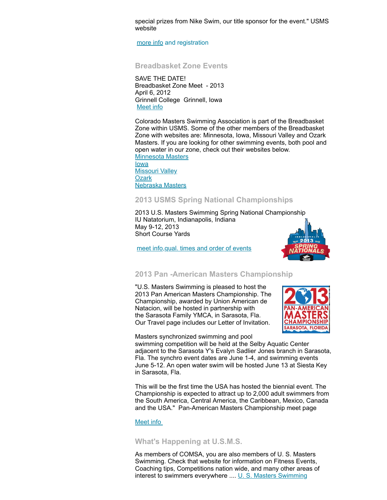special prizes from Nike Swim, our title sponsor for the event." USMS website

[more](http://www.usms.org/fitness/content/gothedistance) info and registration

### <span id="page-4-0"></span>**Breadbasket Zone Events**

SAVE THE DATE! Breadbasket Zone Meet - 2013 April 6, 2012 Grinnell College Grinnell, Iowa [Meet](http://www.iowamasters.org/meet_reg/2013_04_06_Iowa_Masters_Short_Course_Zone_Championship_Entry_Form.pdf) info

Colorado Masters Swimming Association is part of the Breadbasket Zone within USMS. Some of the other members of the Breadbasket Zone with websites are: Minnesota, Iowa, Missouri Valley and Ozark Masters. If you are looking for other swimming events, both pool and open water in our zone, check out their websites below. [Minnesota](http://www.minnesotamasters.com/) Masters

[Iowa](http://www.iowamasters.org/) [Missouri](http://movymasters.com/) Valley **[Ozark](http://www.ozarklmsc.org/)** [Nebraska](http://nebraskaswimming.org/NEMS/Home.html) Masters

## <span id="page-4-1"></span>**2013 USMS Spring National Championships**

2013 U.S. Masters Swimming Spring National Championship IU Natatorium, Indianapolis, Indiana May 9-12, 2013 Short Course Yards

meet info, qual. times and order of events



## <span id="page-4-2"></span>**2013 Pan -American Masters Championship**

"U.S. Masters Swimming is pleased to host the 2013 Pan American Masters Championship. The Championship, awarded by Union American de Natacion, will be hosted in partnership with the Sarasota Family YMCA, in Sarasota, Fla. Our Travel page includes our Letter of Invitation.



Masters synchronized swimming and pool swimming competition will be held at the Selby Aquatic Center adjacent to the Sarasota Y's Evalyn Sadlier Jones branch in Sarasota, Fla. The synchro event dates are June 1-4, and swimming events June 5-12. An open water swim will be hosted June 13 at Siesta Key in Sarasota, Fla.

This will be the first time the USA has hosted the biennial event. The Championship is expected to attract up to 2,000 adult swimmers from the South America, Central America, the Caribbean, Mexico, Canada and the USA." Pan-American Masters Championship meet page

#### [Meet](http://www.panamericanmasters2013.org/) info

## <span id="page-4-3"></span>**What's Happening at U.S.M.S.**

As members of COMSA, you are also members of U. S. Masters Swimming. Check that website for information on Fitness Events, Coaching tips, Competitions nation wide, and many other areas of interest to swimmers everywhere .... U. S. Masters [Swimming](http://www.usms.org/)